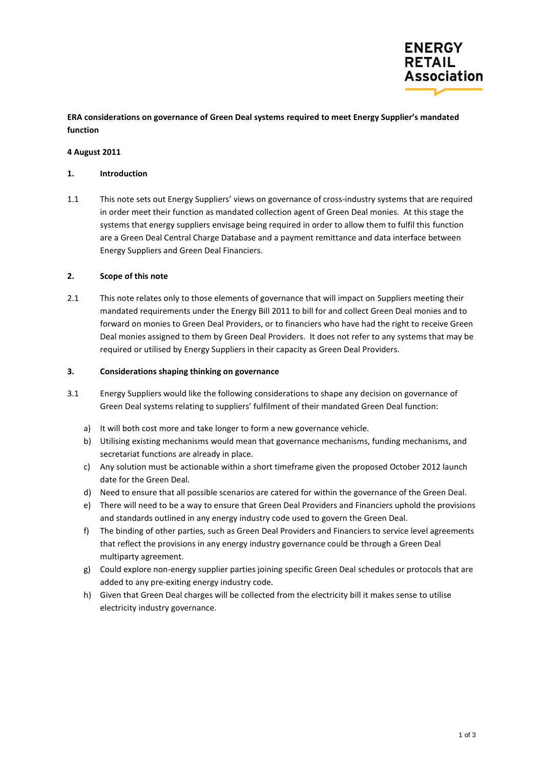

**ERA considerations on governance of Green Deal systems required to meet Energy Supplier's mandated function**

## **4 August 2011**

### **1. Introduction**

1.1 This note sets out Energy Suppliers' views on governance of cross-industry systems that are required in order meet their function as mandated collection agent of Green Deal monies. At this stage the systems that energy suppliers envisage being required in order to allow them to fulfil this function are a Green Deal Central Charge Database and a payment remittance and data interface between Energy Suppliers and Green Deal Financiers.

#### **2. Scope of this note**

2.1 This note relates only to those elements of governance that will impact on Suppliers meeting their mandated requirements under the Energy Bill 2011 to bill for and collect Green Deal monies and to forward on monies to Green Deal Providers, or to financiers who have had the right to receive Green Deal monies assigned to them by Green Deal Providers. It does not refer to any systems that may be required or utilised by Energy Suppliers in their capacity as Green Deal Providers.

#### **3. Considerations shaping thinking on governance**

- 3.1 Energy Suppliers would like the following considerations to shape any decision on governance of Green Deal systems relating to suppliers' fulfilment of their mandated Green Deal function:
	- a) It will both cost more and take longer to form a new governance vehicle.
	- b) Utilising existing mechanisms would mean that governance mechanisms, funding mechanisms, and secretariat functions are already in place.
	- c) Any solution must be actionable within a short timeframe given the proposed October 2012 launch date for the Green Deal.
	- d) Need to ensure that all possible scenarios are catered for within the governance of the Green Deal.
	- e) There will need to be a way to ensure that Green Deal Providers and Financiers uphold the provisions and standards outlined in any energy industry code used to govern the Green Deal.
	- f) The binding of other parties, such as Green Deal Providers and Financiers to service level agreements that reflect the provisions in any energy industry governance could be through a Green Deal multiparty agreement.
	- g) Could explore non-energy supplier parties joining specific Green Deal schedules or protocols that are added to any pre-exiting energy industry code.
	- h) Given that Green Deal charges will be collected from the electricity bill it makes sense to utilise electricity industry governance.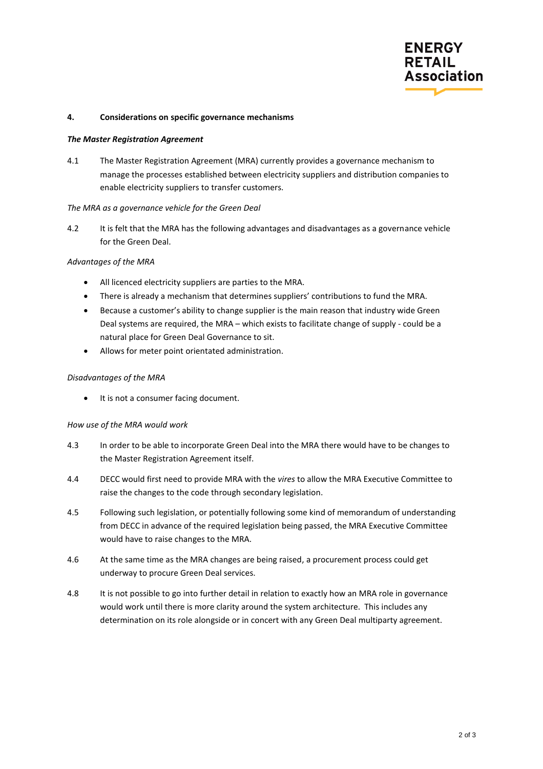

## **4. Considerations on specific governance mechanisms**

#### *The Master Registration Agreement*

4.1 The Master Registration Agreement (MRA) currently provides a governance mechanism to manage the processes established between electricity suppliers and distribution companies to enable electricity suppliers to transfer customers.

#### *The MRA as a governance vehicle for the Green Deal*

4.2 It is felt that the MRA has the following advantages and disadvantages as a governance vehicle for the Green Deal.

### *Advantages of the MRA*

- All licenced electricity suppliers are parties to the MRA.
- There is already a mechanism that determines suppliers' contributions to fund the MRA.
- Because a customer's ability to change supplier is the main reason that industry wide Green Deal systems are required, the MRA – which exists to facilitate change of supply - could be a natural place for Green Deal Governance to sit.
- Allows for meter point orientated administration.

# *Disadvantages of the MRA*

• It is not a consumer facing document.

# *How use of the MRA would work*

- 4.3 In order to be able to incorporate Green Deal into the MRA there would have to be changes to the Master Registration Agreement itself.
- 4.4 DECC would first need to provide MRA with the *vires* to allow the MRA Executive Committee to raise the changes to the code through secondary legislation.
- 4.5 Following such legislation, or potentially following some kind of memorandum of understanding from DECC in advance of the required legislation being passed, the MRA Executive Committee would have to raise changes to the MRA.
- 4.6 At the same time as the MRA changes are being raised, a procurement process could get underway to procure Green Deal services.
- 4.8 It is not possible to go into further detail in relation to exactly how an MRA role in governance would work until there is more clarity around the system architecture. This includes any determination on its role alongside or in concert with any Green Deal multiparty agreement.